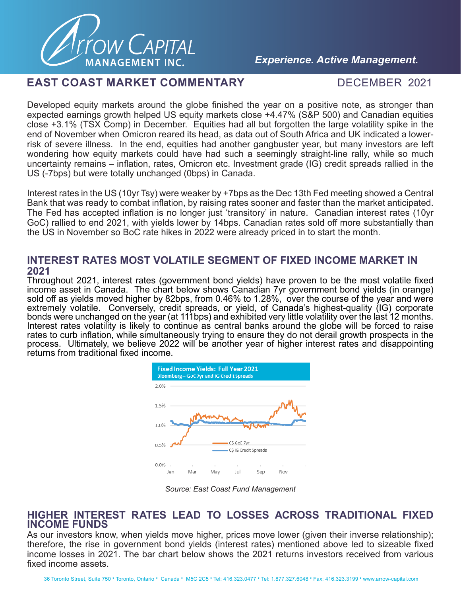

## *Experience. Active Management.*

### **EAST COAST MARKET COMMENTARY FOR DECEMBER 2021**

Developed equity markets around the globe finished the year on a positive note, as stronger than expected earnings growth helped US equity markets close +4.47% (S&P 500) and Canadian equities close +3.1% (TSX Comp) in December. Equities had all but forgotten the large volatility spike in the end of November when Omicron reared its head, as data out of South Africa and UK indicated a lowerrisk of severe illness. In the end, equities had another gangbuster year, but many investors are left wondering how equity markets could have had such a seemingly straight-line rally, while so much uncertainty remains – inflation, rates, Omicron etc. Investment grade (IG) credit spreads rallied in the US (-7bps) but were totally unchanged (0bps) in Canada.

Interest rates in the US (10yr Tsy) were weaker by +7bps as the Dec 13th Fed meeting showed a Central Bank that was ready to combat inflation, by raising rates sooner and faster than the market anticipated. The Fed has accepted inflation is no longer just 'transitory' in nature. Canadian interest rates (10yr GoC) rallied to end 2021, with yields lower by 14bps. Canadian rates sold off more substantially than the US in November so BoC rate hikes in 2022 were already priced in to start the month.

#### **INTEREST RATES MOST VOLATILE SEGMENT OF FIXED INCOME MARKET IN 2021**

Throughout 2021, interest rates (government bond yields) have proven to be the most volatile fixed income asset in Canada. The chart below shows Canadian 7yr government bond yields (in orange) sold off as yields moved higher by 82bps, from 0.46% to 1.28%, over the course of the year and were extremely volatile. Conversely, credit spreads, or yield, of Canada's highest-quality (IG) corporate bonds were unchanged on the year (at 111bps) and exhibited very little volatility over the last 12 months. Interest rates volatility is likely to continue as central banks around the globe will be forced to raise rates to curb inflation, while simultaneously trying to ensure they do not derail growth prospects in the process. Ultimately, we believe 2022 will be another year of higher interest rates and disappointing returns from traditional fixed income.



*Source: East Coast Fund Management*

### **HIGHER INTEREST RATES LEAD TO LOSSES ACROSS TRADITIONAL FIXED INCOME FUNDS**

As our investors know, when yields move higher, prices move lower (given their inverse relationship); therefore, the rise in government bond yields (interest rates) mentioned above led to sizeable fixed income losses in 2021. The bar chart below shows the 2021 returns investors received from various fixed income assets.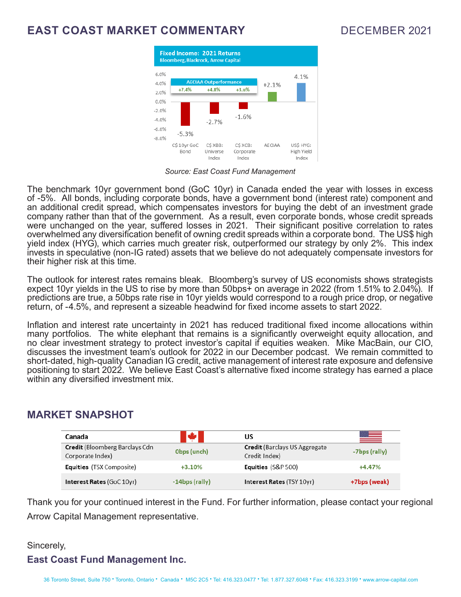# **EAST COAST MARKET COMMENTARY** DECEMBER 2021



*Source: East Coast Fund Management*

The benchmark 10yr government bond (GoC 10yr) in Canada ended the year with losses in excess of -5%. All bonds, including corporate bonds, have a government bond (interest rate) component and an additional credit spread, which compensates investors for buying the debt of an investment grade company rather than that of the government. As a result, even corporate bonds, whose credit spreads were unchanged on the year, suffered losses in 2021. Their significant positive correlation to rates overwhelmed any diversification benefit of owning credit spreads within a corporate bond. The US\$ high yield index (HYG), which carries much greater risk, outperformed our strategy by only 2%. This index invests in speculative (non-IG rated) assets that we believe do not adequately compensate investors for their higher risk at this time.

The outlook for interest rates remains bleak. Bloomberg's survey of US economists shows strategists expect 10yr yields in the US to rise by more than 50bps+ on average in 2022 (from 1.51% to 2.04%). If predictions are true, a 50bps rate rise in 10yr yields would correspond to a rough price drop, or negative return, of -4.5%, and represent a sizeable headwind for fixed income assets to start 2022.

Inflation and interest rate uncertainty in 2021 has reduced traditional fixed income allocations within many portfolios. The white elephant that remains is a significantly overweight equity allocation, and no clear investment strategy to protect investor's capital if equities weaken. Mike MacBain, our CIO, discusses the investment team's outlook for 2022 in our December podcast. We remain committed to short-dated, high-quality Canadian IG credit, active management of interest rate exposure and defensive positioning to start 2022. We believe East Coast's alternative fixed income strategy has earned a place within any diversified investment mix.

## **MARKET SNAPSHOT**

| Canada                                             | N.                | US                                             | ≝             |
|----------------------------------------------------|-------------------|------------------------------------------------|---------------|
| Credit (Bloomberg Barclays Cdn<br>Corporate Index) | Obps (unch)       | Credit (Barclays US Aggregate<br>Credit Index) | -7bps (rally) |
| <b>Equities</b> (TSX Composite)                    | $+3.10%$          | <b>Equities</b> (S&P 500)                      | $+4.47%$      |
| <b>Interest Rates (GoC 10yr)</b>                   | $-14$ bps (rally) | <b>Interest Rates (TSY 10yr)</b>               | +7bps (weak)  |

Thank you for your continued interest in the Fund. For further information, please contact your regional Arrow Capital Management representative.

## Sincerely, **East Coast Fund Management Inc.**